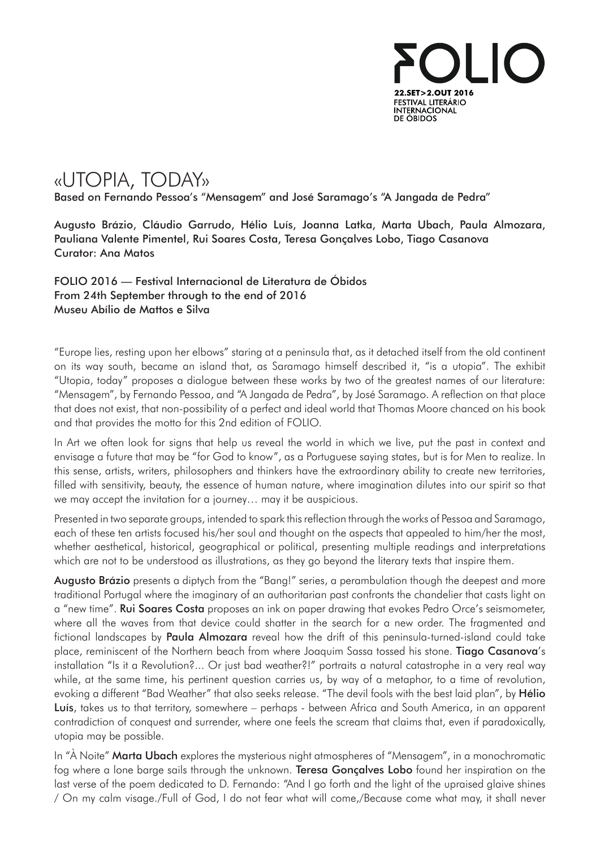

## «UTOPIA, TODAY»

Based on Fernando Pessoa's "Mensagem" and José Saramago's "A Jangada de Pedra"

Augusto Brázio, Cláudio Garrudo, Hélio Luís, Joanna Latka, Marta Ubach, Paula Almozara, Pauliana Valente Pimentel, Rui Soares Costa, Teresa Gonçalves Lobo, Tiago Casanova Curator: Ana Matos

FOLIO 2016 — Festival Internacional de Literatura de Óbidos From 24th September through to the end of 2016 Museu Abílio de Mattos e Silva

"Europe lies, resting upon her elbows" staring at a peninsula that, as it detached itself from the old continent on its way south, became an island that, as Saramago himself described it, "is a utopia". The exhibit "Utopia, today" proposes a dialogue between these works by two of the greatest names of our literature: "Mensagem", by Fernando Pessoa, and "A Jangada de Pedra", by José Saramago. A reflection on that place that does not exist, that non-possibility of a perfect and ideal world that Thomas Moore chanced on his book and that provides the motto for this 2nd edition of FOLIO.

In Art we often look for signs that help us reveal the world in which we live, put the past in context and envisage a future that may be "for God to know", as a Portuguese saying states, but is for Men to realize. In this sense, artists, writers, philosophers and thinkers have the extraordinary ability to create new territories, filled with sensitivity, beauty, the essence of human nature, where imagination dilutes into our spirit so that we may accept the invitation for a journey… may it be auspicious.

Presented in two separate groups, intended to spark this reflection through the works of Pessoa and Saramago, each of these ten artists focused his/her soul and thought on the aspects that appealed to him/her the most, whether aesthetical, historical, geographical or political, presenting multiple readings and interpretations which are not to be understood as illustrations, as they go beyond the literary texts that inspire them.

a "new time". **Rui Soares Costa** proposes an ink on paper drawing that evokes Pedro Orce's seismometer, where all the waves from that device could shatter in the search for a new order. The fragmented and Augusto Brázio presents a diptych from the "Bang!" series, a perambulation though the deepest and more traditional Portugal where the imaginary of an authoritarian past confronts the chandelier that casts light on fictional landscapes by Paula Almozara reveal how the drift of this peninsula-turned-island could take place, reminiscent of the Northern beach from where Joaquim Sassa tossed his stone. Tiago Casanova's installation "Is it a Revolution?... Or just bad weather?!" portraits a natural catastrophe in a very real way while, at the same time, his pertinent question carries us, by way of a metaphor, to a time of revolution, evoking a different "Bad Weather" that also seeks release. "The devil fools with the best laid plan", by Hélio Luís, takes us to that territory, somewhere – perhaps - between Africa and South America, in an apparent contradiction of conquest and surrender, where one feels the scream that claims that, even if paradoxically, utopia may be possible.

In "À Noite" **Marta Ubach** explores the mysterious night atmospheres of "Mensagem", in a monochromatic fog where a lone barge sails through the unknown. **Teresa Gonçalves Lobo** found her inspiration on the last verse of the poem dedicated to D. Fernando: "And I go forth and the light of the upraised glaive shines / On my calm visage./Full of God, I do not fear what will come,/Because come what may, it shall never